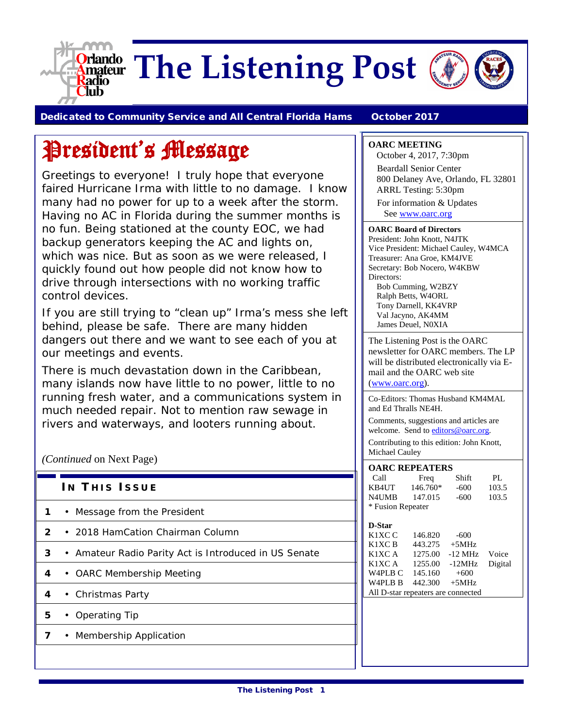

**Orlando** The Listening Post



Dedicated to Community Service and All Central Florida Hams October 2017

# President's Message

Greetings to everyone! I truly hope that everyone faired Hurricane Irma with little to no damage. I know many had no power for up to a week after the storm. Having no AC in Florida during the summer months is no fun. Being stationed at the county EOC, we had backup generators keeping the AC and lights on, which was nice. But as soon as we were released, I quickly found out how people did not know how to drive through intersections with no working traffic control devices.

If you are still trying to "clean up" Irma's mess she left behind, please be safe. There are many hidden dangers out there and we want to see each of you at our meetings and events.

There is much devastation down in the Caribbean, many islands now have little to no power, little to no running fresh water, and a communications system in much needed repair. Not to mention raw sewage in rivers and waterways, and looters running about.

#### *(Continued* on Next Page)

|  | IN THIS ISSUE |
|--|---------------|
|  |               |

- **1** Message from the President
- **2** 2018 HamCation Chairman Column
- **3** Amateur Radio Parity Act is Introduced in US Senate
- **4** OARC Membership Meeting
- **4** Christmas Party
- **5** Operating Tip
- **7** Membership Application

#### **OARC MEETING**

October 4, 2017, 7:30pm Beardall Senior Center 800 Delaney Ave, Orlando, FL 32801 ARRL Testing: 5:30pm For information & Updates Se[e www.oarc.org](http://www.oarc.org/)

#### **OARC Board of Directors**

President: John Knott, N4JTK Vice President: Michael Cauley, W4MCA Treasurer: Ana Groe, KM4JVE Secretary: Bob Nocero, W4KBW Directors: Bob Cumming, W2BZY

Ralph Betts, W4ORL Tony Darnell, KK4VRP Val Jacyno, AK4MM James Deuel, N0XIA

The Listening Post is the OARC newsletter for OARC members. The LP will be distributed electronically via Email and the OARC web site [\(www.oarc.org\)](http://www.oarc.org/).

Co-Editors: Thomas Husband KM4MAL and Ed Thralls NE4H.

Comments, suggestions and articles are welcome. Send t[o editors@oarc.org.](mailto:editors@oarc.org)

Contributing to this edition: John Knott, Michael Cauley

| <b>OARC REPEATERS</b> |          |        |       |  |  |
|-----------------------|----------|--------|-------|--|--|
| Call                  | Freq     | Shift  | PI.   |  |  |
| KB4UT                 | 146.760* | $-600$ | 103.5 |  |  |
| N4UMB                 | 147.015  | $-600$ | 103.5 |  |  |
| * Fusion Repeater     |          |        |       |  |  |

| D-Star                             |         |           |         |
|------------------------------------|---------|-----------|---------|
| K <sub>1</sub> XC <sub>C</sub>     | 146.820 | $-600$    |         |
| K <sub>1</sub> XC <sub>B</sub>     | 443.275 | $+5MHz$   |         |
| K1XC A                             | 1275.00 | $-12$ MHz | Voice   |
| K1XC A                             | 1255.00 | $-12MHz$  | Digital |
| W <sub>4</sub> PL <sub>B</sub> C   | 145.160 | $+600$    |         |
| W <sub>4</sub> PL <sub>B</sub> B   | 442.300 | $+5MHz$   |         |
| All D-star repeaters are connected |         |           |         |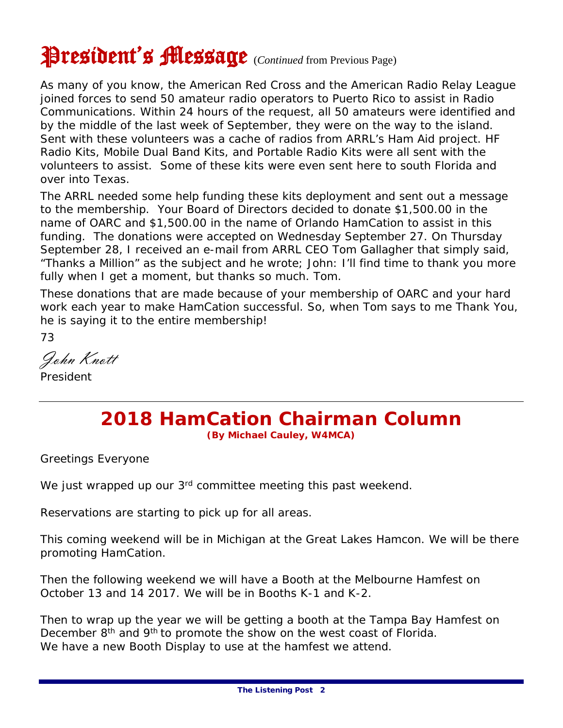# President's Message (*Continued* from Previous Page)

As many of you know, the American Red Cross and the American Radio Relay League joined forces to send 50 amateur radio operators to Puerto Rico to assist in Radio Communications. Within 24 hours of the request, all 50 amateurs were identified and by the middle of the last week of September, they were on the way to the island. Sent with these volunteers was a cache of radios from ARRL's Ham Aid project. HF Radio Kits, Mobile Dual Band Kits, and Portable Radio Kits were all sent with the volunteers to assist. Some of these kits were even sent here to south Florida and over into Texas.

The ARRL needed some help funding these kits deployment and sent out a message to the membership. Your Board of Directors decided to donate \$1,500.00 in the name of OARC and \$1,500.00 in the name of Orlando HamCation to assist in this funding. The donations were accepted on Wednesday September 27. On Thursday September 28, I received an e-mail from ARRL CEO Tom Gallagher that simply said, "Thanks a Million" as the subject and he wrote; John: I'll find time to thank you more fully when I get a moment, but thanks so much. Tom.

These donations that are made because of your membership of OARC and your hard work each year to make HamCation successful. So, when Tom says to me Thank You, he is saying it to the entire membership!

73

John Knott President

### **2018 HamCation Chairman Column (By Michael Cauley, W4MCA)**

Greetings Everyone

We just wrapped up our 3<sup>rd</sup> committee meeting this past weekend.

Reservations are starting to pick up for all areas.

This coming weekend will be in Michigan at the Great Lakes Hamcon. We will be there promoting HamCation.

Then the following weekend we will have a Booth at the Melbourne Hamfest on October 13 and 14 2017. We will be in Booths K-1 and K-2.

Then to wrap up the year we will be getting a booth at the Tampa Bay Hamfest on December 8<sup>th</sup> and 9<sup>th</sup> to promote the show on the west coast of Florida. We have a new Booth Display to use at the hamfest we attend.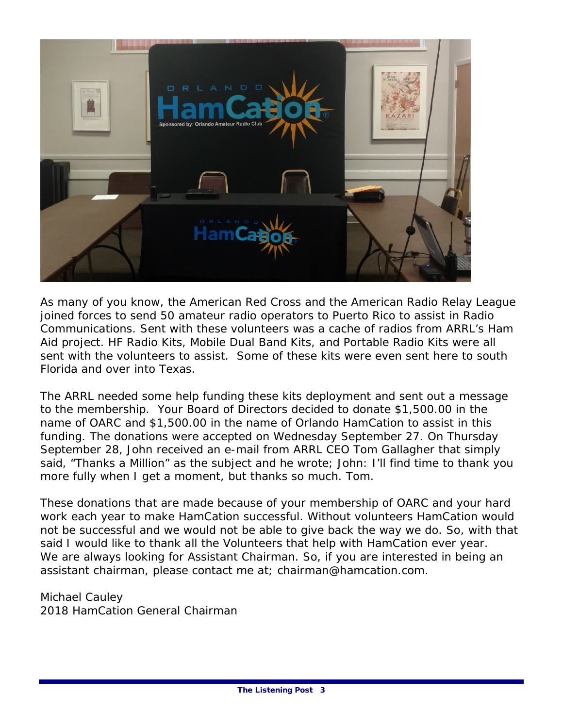

As many of you know, the American Red Cross and the American Radio Relay League joined forces to send 50 amateur radio operators to Puerto Rico to assist in Radio Communications. Sent with these volunteers was a cache of radios from ARRL's Ham Aid project. HF Radio Kits, Mobile Dual Band Kits, and Portable Radio Kits were all sent with the volunteers to assist. Some of these kits were even sent here to south Florida and over into Texas.

The ARRL needed some help funding these kits deployment and sent out a message to the membership. Your Board of Directors decided to donate \$1,500.00 in the name of OARC and \$1,500.00 in the name of Orlando HamCation to assist in this funding. The donations were accepted on Wednesday September 27. On Thursday September 28, John received an e-mail from ARRL CEO Tom Gallagher that simply said, "Thanks a Million" as the subject and he wrote; John: I'll find time to thank you more fully when I get a moment, but thanks so much. Tom.

These donations that are made because of your membership of OARC and your hard work each year to make HamCation successful. Without volunteers HamCation would not be successful and we would not be able to give back the way we do. So, with that said I would like to thank all the Volunteers that help with HamCation ever year. We are always looking for Assistant Chairman. So, if you are interested in being an assistant chairman, please contact me at; chairman@hamcation.com.

Michael Cauley 2018 HamCation General Chairman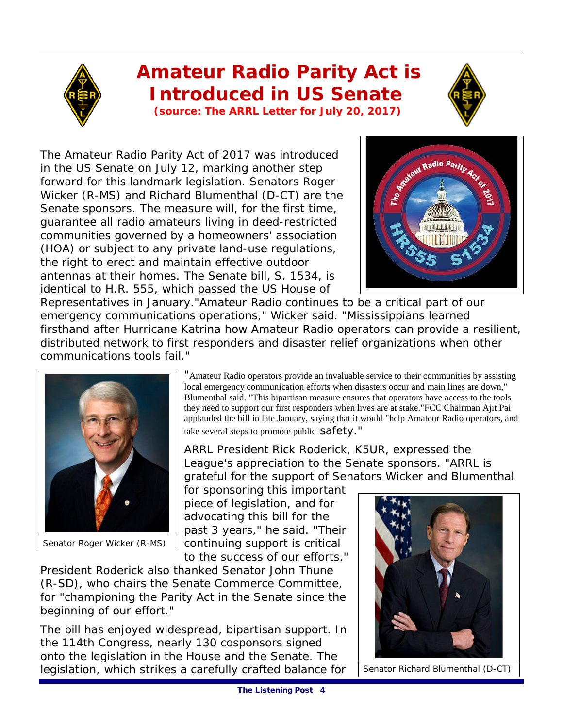## **Amateur Radio Parity Act is Introduced in US Senate**

**(source: The ARRL Letter for July 20, 2017)**

The Amateur Radio Parity Act of 2017 was introduced in the US Senate on July 12, marking another step forward for this landmark legislation. Senators Roger Wicker (R-MS) and Richard Blumenthal (D-CT) are the Senate sponsors. The measure will, for the first time, guarantee all radio amateurs living in deed-restricted communities governed by a homeowners' association (HOA) or subject to any private land-use regulations, the right to erect and maintain effective outdoor antennas at their homes. The Senate bill, S. 1534, is identical to H.R. 555, which passed the US House of

Referredio Parity A

Representatives in January."Amateur Radio continues to be a critical part of our emergency communications operations," Wicker said. "Mississippians learned firsthand after Hurricane Katrina how Amateur Radio operators can provide a resilient, distributed network to first responders and disaster relief organizations when other communications tools fail."



Senator Roger Wicker (R-MS)

"Amateur Radio operators provide an invaluable service to their communities by assisting local emergency communication efforts when disasters occur and main lines are down," Blumenthal said. "This bipartisan measure ensures that operators have access to the tools they need to support our first responders when lives are at stake."FCC Chairman Ajit Pai applauded the bill in late January, saying that it would "help Amateur Radio operators, and take several steps to promote public safety."

ARRL President Rick Roderick, K5UR, expressed the League's appreciation to the Senate sponsors. "ARRL is grateful for the support of Senators Wicker and Blumenthal

for sponsoring this important piece of legislation, and for advocating this bill for the past 3 years," he said. "Their continuing support is critical to the success of our efforts."

President Roderick also thanked Senator John Thune (R-SD), who chairs the Senate Commerce Committee, for "championing the Parity Act in the Senate since the beginning of our effort."

The bill has enjoyed widespread, bipartisan support. In the 114th Congress, nearly 130 cosponsors signed onto the legislation in the House and the Senate. The legislation, which strikes a carefully crafted balance for



Senator Richard Blumenthal (D-CT)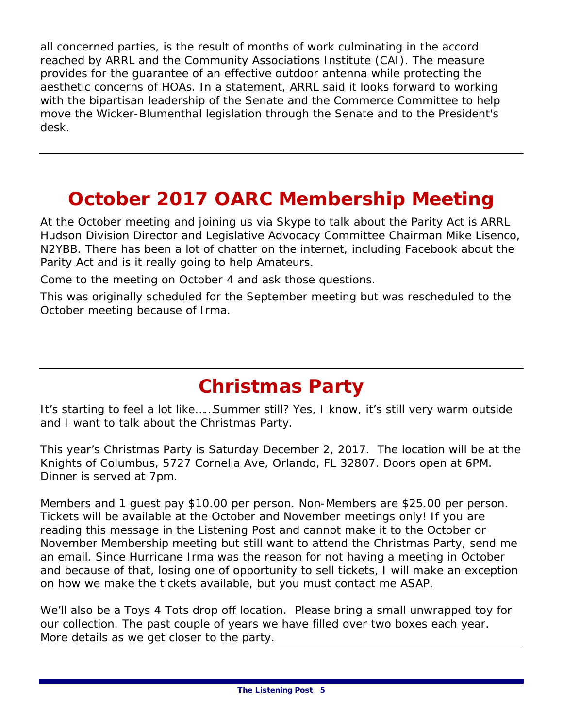all concerned parties, is the result of months of work culminating in the accord reached by ARRL and the Community Associations Institute (CAI). The measure provides for the guarantee of an effective outdoor antenna while protecting the aesthetic concerns of HOAs. In a statement, ARRL said it looks forward to working with the bipartisan leadership of the Senate and the Commerce Committee to help move the Wicker-Blumenthal legislation through the Senate and to the President's desk.

### **October 2017 OARC Membership Meeting**

At the October meeting and joining us via Skype to talk about the Parity Act is ARRL Hudson Division Director and Legislative Advocacy Committee Chairman Mike Lisenco, N2YBB. There has been a lot of chatter on the internet, including Facebook about the Parity Act and is it really going to help Amateurs.

Come to the meeting on October 4 and ask those questions.

This was originally scheduled for the September meeting but was rescheduled to the October meeting because of Irma.

## **Christmas Party**

*It's starting to feel a lot like……Summer still?* Yes, I know, it's still very warm outside and I want to talk about the Christmas Party.

This year's Christmas Party is Saturday December 2, 2017. The location will be at the Knights of Columbus, 5727 Cornelia Ave, Orlando, FL 32807. Doors open at 6PM. Dinner is served at 7pm.

Members and 1 guest pay \$10.00 per person. Non-Members are \$25.00 per person. Tickets will be available at the October and November meetings only! If you are reading this message in the Listening Post and cannot make it to the October or November Membership meeting but still want to attend the Christmas Party, send me an email. Since Hurricane Irma was the reason for not having a meeting in October and because of that, losing one of opportunity to sell tickets, I will make an exception on how we make the tickets available, but you must contact me ASAP.

We'll also be a Toys 4 Tots drop off location. Please bring a small unwrapped toy for our collection. The past couple of years we have filled over two boxes each year. More details as we get closer to the party.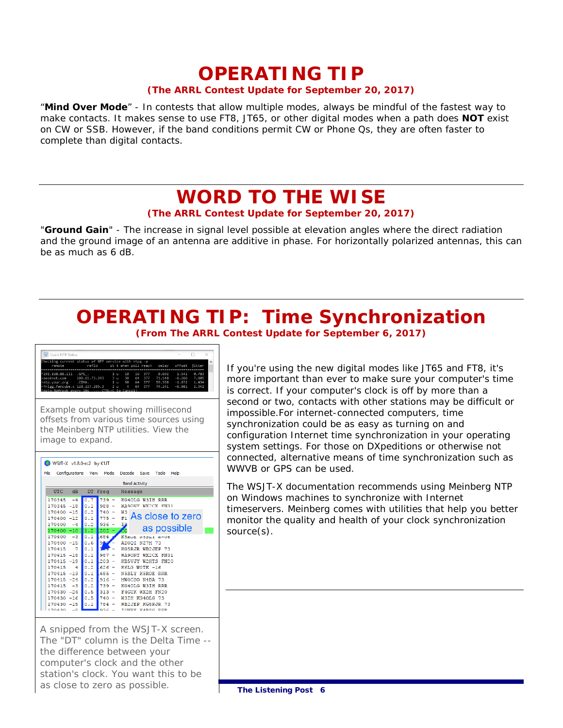# **OPERATING TIP**

#### **(The ARRL Contest Update for September 20, 2017)**

"**Mind Over Mode**" - In contests that allow multiple modes, always be mindful of the fastest way to make contacts. It makes sense to use FT8, JT65, or other digital modes when a path does **NOT** exist on CW or SSB. However, if the band conditions permit CW or Phone Qs, they are often faster to complete than digital contacts.

### **WORD TO THE WISE (The ARRL Contest Update for September 20, 2017)**

"**Ground Gain**" - The increase in signal level possible at elevation angles where the direct radiation and the ground image of an antenna are additive in phase. For horizontally polarized antennas, this can be as much as 6 dB.

### **OPERATING TIP: Time Synchronization (From The ARRL Contest Update for September 6, 2017)**

| <b>Quick NTP Status</b>                             |                                                    |        |  |              |          |       |  |
|-----------------------------------------------------|----------------------------------------------------|--------|--|--------------|----------|-------|--|
| Checking current status of NTP service with ntpg -p |                                                    |        |  |              |          |       |  |
| remote                                              | refid st t when poll reach delay offset jitter     |        |  |              |          |       |  |
|                                                     |                                                    |        |  |              |          |       |  |
| $*192.168.88.111$ .GPS.                             |                                                    | 1 u 10 |  | 16 377 0.692 | 1.541    | 0.783 |  |
|                                                     | neoknet.com 108.61.73.243 3 u 30 64 377 71.148     |        |  |              | $-6.266$ | 7.805 |  |
|                                                     | ntp.vour.org .CDMA. 1 u 50 64 377 59.358           |        |  |              | $-1.672$ | 1.434 |  |
|                                                     | -frigg.fancube.c 128.227.205.3 2 u 4 64 377 74.241 |        |  |              | $-6.981$ | 2.542 |  |

Example output showing millisecond offsets from various time sources using the Meinberg NTP utilities. View the image to expand.

| WSJT-X v1.8.0-rc2 by K1JT                                           |         |               |                        |  |
|---------------------------------------------------------------------|---------|---------------|------------------------|--|
| Configurations View<br>Mode<br>Decode Save<br>File<br>Tools<br>Help |         |               |                        |  |
| <b>Band Activity</b>                                                |         |               |                        |  |
| UTC<br>dB<br>DT Freq<br>Message                                     |         |               |                        |  |
| $-4$<br>170345                                                      | 0.7     | $739 -$       | KG4OLG W3IH RRR        |  |
| 170345 -18                                                          | 0.1     | $988 -$       | WA9ONY WX2CX FN31      |  |
| 170400 -15                                                          | 0.2     | $740 -$       | W3<br>As close to zero |  |
| 170400 -12                                                          | 0.1     | $775 -$       | F1.                    |  |
| 170400<br>$-4$                                                      | 0.2     | 936<br>$\sim$ | Iρ                     |  |
| 170400 -10                                                          | 1.2     | $202 -$       | as possible<br>Сo      |  |
| $-3$<br>170400                                                      | 0.1     | 684           | K5RUE NOOLI R-UD       |  |
| 170400 -15                                                          | 0.6     | $9$ $\sim$    | ADOOI NZ7M 73          |  |
| 170415<br>7                                                         | 0.1     |               | KG5RJR WB2JEP 73       |  |
| $170415 - 18$                                                       | 0.1     | 987<br>$\sim$ | WA9ONY WX2CX FN31      |  |
| $170415 - 19$                                                       | 10.1    | $203 -$       | KB5VJY W2HTS FN20      |  |
| 170415<br>4                                                         | 0.2     | $626 -$       | K6LG WOTK -16          |  |
| $170415 - 13$                                                       | 0.1     | $685 -$       | <b>N5SLY K5ROE RRR</b> |  |
| 170415 -24                                                          | 0.2     | $916 -$       | MWOCSO N4DA 73         |  |
| 170415<br>$-3$                                                      | 0.2     | $739 -$       | KG4OLG W3TH RRR        |  |
| $170430 - 24$                                                       | $0.5 -$ | $313 -$       | F4GUK WX2H FN20        |  |
| $170430 - 16$                                                       | 0.5     | $740 -$       | W3IH KG4OLG 73         |  |
| $170430 - 15$                                                       | 0.1     | $784 -$       | WB2JEP KG5RJR 73       |  |
| 70420                                                               |         | ooc           | TOMBY MADEC BBB        |  |

A snipped from the WSJT-X screen. The "DT" column is the Delta Time - the difference between your computer's clock and the other station's clock. You want this to be as close to zero as possible.

If you're using the new digital modes like JT65 and FT8, it's more important than ever to make sure your computer's time is correct. If your computer's clock is off by more than a second or two, contacts with other stations may be difficult or impossible.For internet-connected computers, time synchronization could be as easy as turning on and configuration Internet time synchronization in your operating system settings. For those on DXpeditions or otherwise not connected, alternative means of time synchronization such as WWVB or GPS can be used.

The WSJT-X documentation recommends using Meinberg NTP on Windows machines to synchronize with Internet timeservers. Meinberg comes with utilities that help you better monitor the quality and health of your clock synchronization source(s).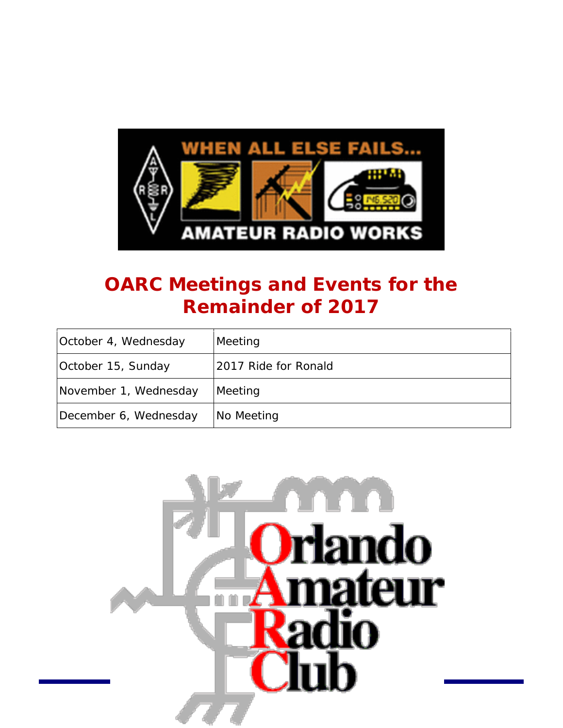

## **OARC Meetings and Events for the Remainder of 2017**

| October 4, Wednesday  | Meeting              |
|-----------------------|----------------------|
| October 15, Sunday    | 2017 Ride for Ronald |
| November 1, Wednesday | Meeting              |
| December 6, Wednesday | No Meeting           |